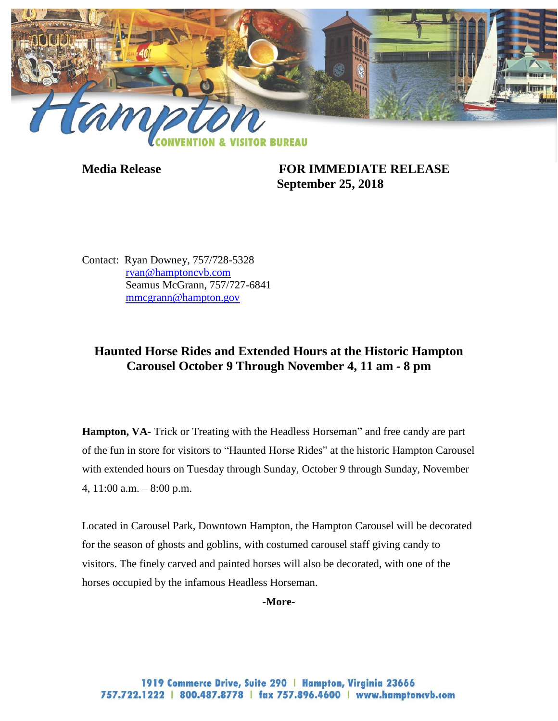

**Media Release FOR IMMEDIATE RELEASE September 25, 2018**

Contact: Ryan Downey, 757/728-5328 [ryan@hamptoncvb.com](mailto:ryan@hamptoncvb.com) Seamus McGrann, 757/727-6841 [mmcgrann@hampton.gov](mailto:mmcgrann@hampton.gov)

# **Haunted Horse Rides and Extended Hours at the Historic Hampton Carousel October 9 Through November 4, 11 am - 8 pm**

**Hampton, VA-** Trick or Treating with the Headless Horseman" and free candy are part of the fun in store for visitors to "Haunted Horse Rides" at the historic Hampton Carousel with extended hours on Tuesday through Sunday, October 9 through Sunday, November 4, 11:00 a.m. – 8:00 p.m.

Located in Carousel Park, Downtown Hampton, the Hampton Carousel will be decorated for the season of ghosts and goblins, with costumed carousel staff giving candy to visitors. The finely carved and painted horses will also be decorated, with one of the horses occupied by the infamous Headless Horseman.

**-More-**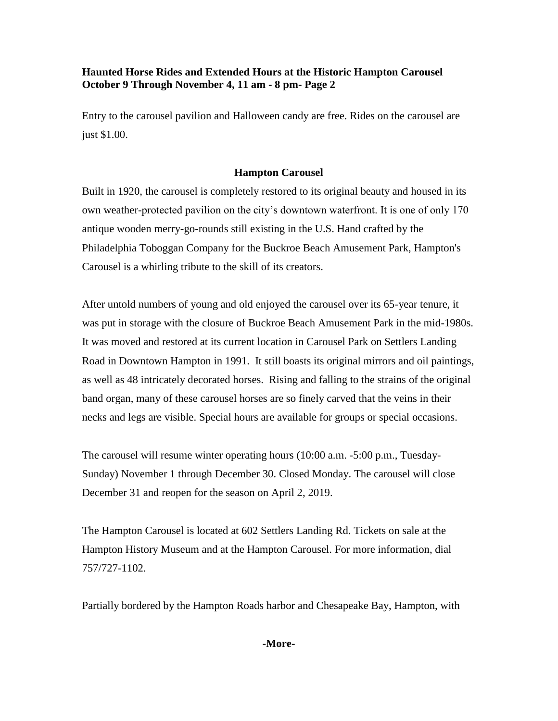## **Haunted Horse Rides and Extended Hours at the Historic Hampton Carousel October 9 Through November 4, 11 am - 8 pm- Page 2**

Entry to the carousel pavilion and Halloween candy are free. Rides on the carousel are just \$1.00.

## **Hampton Carousel**

Built in 1920, the carousel is completely restored to its original beauty and housed in its own weather-protected pavilion on the city's downtown waterfront. It is one of only 170 antique wooden merry-go-rounds still existing in the U.S. Hand crafted by the Philadelphia Toboggan Company for the Buckroe Beach Amusement Park, Hampton's Carousel is a whirling tribute to the skill of its creators.

After untold numbers of young and old enjoyed the carousel over its 65-year tenure, it was put in storage with the closure of Buckroe Beach Amusement Park in the mid-1980s. It was moved and restored at its current location in Carousel Park on Settlers Landing Road in Downtown Hampton in 1991. It still boasts its original mirrors and oil paintings, as well as 48 intricately decorated horses. Rising and falling to the strains of the original band organ, many of these carousel horses are so finely carved that the veins in their necks and legs are visible. Special hours are available for groups or special occasions.

The carousel will resume winter operating hours (10:00 a.m. -5:00 p.m., Tuesday-Sunday) November 1 through December 30. Closed Monday. The carousel will close December 31 and reopen for the season on April 2, 2019.

The Hampton Carousel is located at 602 Settlers Landing Rd. Tickets on sale at the Hampton History Museum and at the Hampton Carousel. For more information, dial 757/727-1102.

Partially bordered by the Hampton Roads harbor and Chesapeake Bay, Hampton, with

#### **-More-**